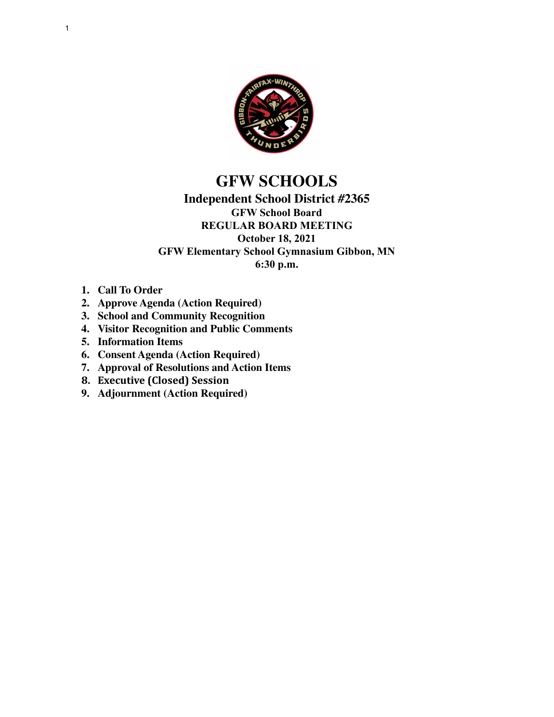

# **GFW SCHOOLS**

### **Independent School District #2365 GFW School Board REGULAR BOARD MEETING October 18, 2021 GFW Elementary School Gymnasium Gibbon, MN 6:30 p.m.**

- **1. Call To Order**
- **2. Approve Agenda (Action Required)**
- **3. School and Community Recognition**
- **4. Visitor Recognition and Public Comments**
- **5. Information Items**
- **6. Consent Agenda (Action Required)**
- **7. Approval of Resolutions and Action Items**
- **8. Executive (Closed) Session**
- **9. Adjournment (Action Required)**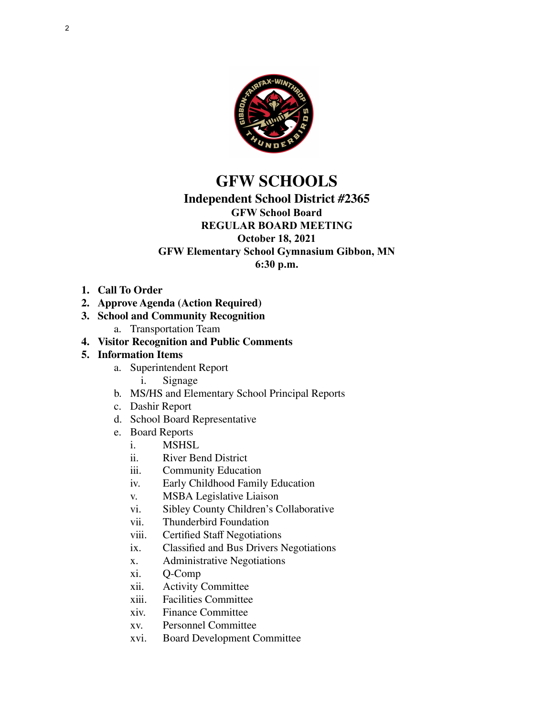

# **GFW SCHOOLS**

# **Independent School District #2365**

# **GFW School Board**

#### **REGULAR BOARD MEETING October 18, 2021**

## **GFW Elementary School Gymnasium Gibbon, MN**

**6:30 p.m.**

- **1. Call To Order**
- **2. Approve Agenda (Action Required)**
- **3. School and Community Recognition**
	- a. Transportation Team
- **4. Visitor Recognition and Public Comments**

### **5. Information Items**

- a. Superintendent Report
	- i. Signage
- b. MS/HS and Elementary School Principal Reports
- c. Dashir Report
- d. School Board Representative
- e. Board Reports
	- **MSHSL**
	- ii. River Bend District
	- iii. Community Education
	- iv. Early Childhood Family Education
	- v. MSBA Legislative Liaison
	- vi. Sibley County Children's Collaborative
	- vii. Thunderbird Foundation
	- viii. Certified Staff Negotiations
	- ix. Classified and Bus Drivers Negotiations
	- x. Administrative Negotiations
	- xi. Q-Comp
	- xii. Activity Committee
	- xiii. Facilities Committee
	- xiv. Finance Committee
	- xv. Personnel Committee
	- xvi. Board Development Committee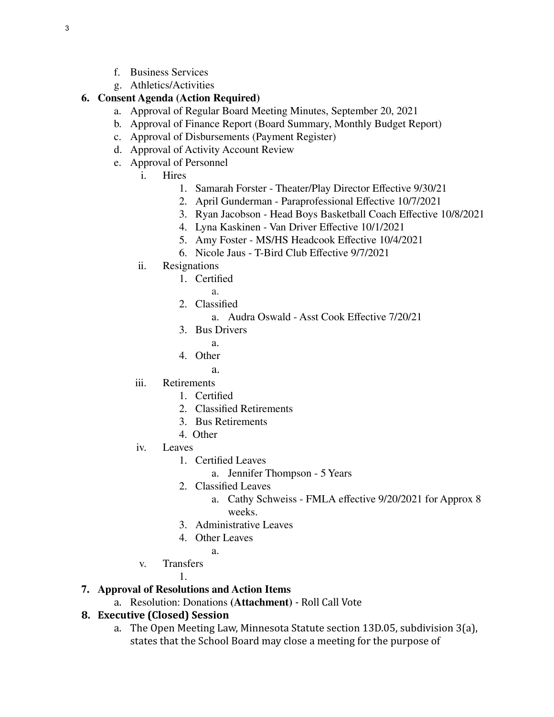- f. Business Services
- g. Athletics/Activities

#### **6. Consent Agenda (Action Required)**

- a. Approval of Regular Board Meeting Minutes, September 20, 2021
- b. Approval of Finance Report (Board Summary, Monthly Budget Report)
- c. Approval of Disbursements (Payment Register)
- d. Approval of Activity Account Review
- e. Approval of Personnel
	- i. Hires
		- 1. Samarah Forster Theater/Play Director Effective 9/30/21
		- 2. April Gunderman Paraprofessional Effective 10/7/2021
		- 3. Ryan Jacobson Head Boys Basketball Coach Effective 10/8/2021
		- 4. Lyna Kaskinen Van Driver Effective 10/1/2021
		- 5. Amy Foster MS/HS Headcook Effective 10/4/2021
		- 6. Nicole Jaus T-Bird Club Effective 9/7/2021
	- ii. Resignations
		- 1. Certified
			- a.
		- 2. Classified
			- a. Audra Oswald Asst Cook Effective 7/20/21
		- 3. Bus Drivers
			- a.
		- 4. Other
			- a.
	- iii. Retirements
		- 1. Certified
		- 2. Classified Retirements
		- 3. Bus Retirements
		- 4. Other
	- iv. Leaves
		- 1. Certified Leaves
			- a. Jennifer Thompson 5 Years
		- 2. Classified Leaves
			- a. Cathy Schweiss FMLA effective 9/20/2021 for Approx 8 weeks.
		- 3. Administrative Leaves
		- 4. Other Leaves
		- a.
	- v. Transfers

1.

### **7. Approval of Resolutions and Action Items**

a. Resolution: Donations **(Attachment)** - Roll Call Vote

### **8. Executive (Closed) Session**

a. The Open Meeting Law, Minnesota Statute section 13D.05, subdivision 3(a), states that the School Board may close a meeting for the purpose of